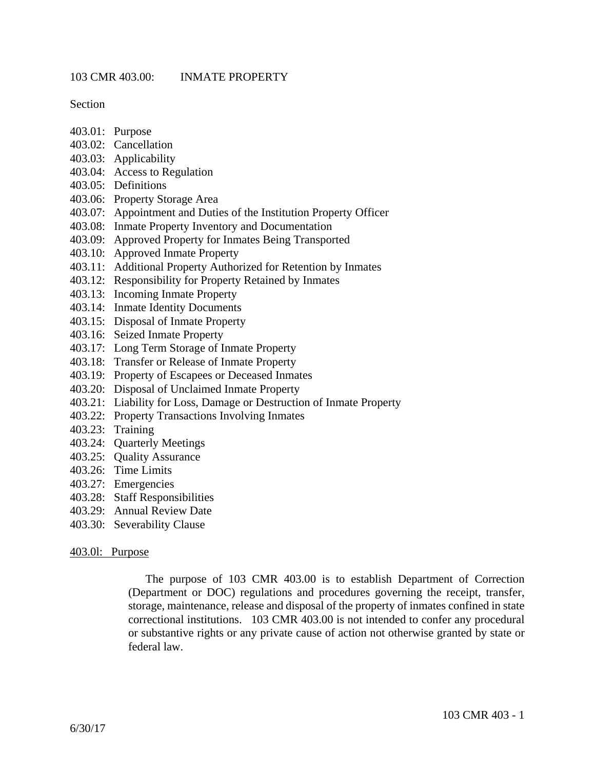Section

- 403.01: Purpose
- 403.02: Cancellation
- 403.03: Applicability
- 403.04: Access to Regulation
- 403.05: Definitions
- 403.06: Property Storage Area
- 403.07: Appointment and Duties of the Institution Property Officer
- 403.08: Inmate Property Inventory and Documentation
- 403.09: Approved Property for Inmates Being Transported
- 403.10: Approved Inmate Property
- 403.11: Additional Property Authorized for Retention by Inmates
- 403.12: Responsibility for Property Retained by Inmates
- 403.13: Incoming Inmate Property
- 403.14: Inmate Identity Documents
- 403.15: Disposal of Inmate Property
- 403.16: Seized Inmate Property
- 403.17: Long Term Storage of Inmate Property
- 403.18: Transfer or Release of Inmate Property
- 403.19: Property of Escapees or Deceased Inmates
- 403.20: Disposal of Unclaimed Inmate Property
- 403.21: Liability for Loss, Damage or Destruction of Inmate Property
- 403.22: Property Transactions Involving Inmates
- 403.23: Training
- 403.24: Quarterly Meetings
- 403.25: Quality Assurance
- 403.26: Time Limits
- 403.27: Emergencies
- 403.28: Staff Responsibilities
- 403.29: Annual Review Date
- 403.30: Severability Clause

### 403.0l: Purpose

The purpose of 103 CMR 403.00 is to establish Department of Correction (Department or DOC) regulations and procedures governing the receipt, transfer, storage, maintenance, release and disposal of the property of inmates confined in state correctional institutions. 103 CMR 403.00 is not intended to confer any procedural or substantive rights or any private cause of action not otherwise granted by state or federal law.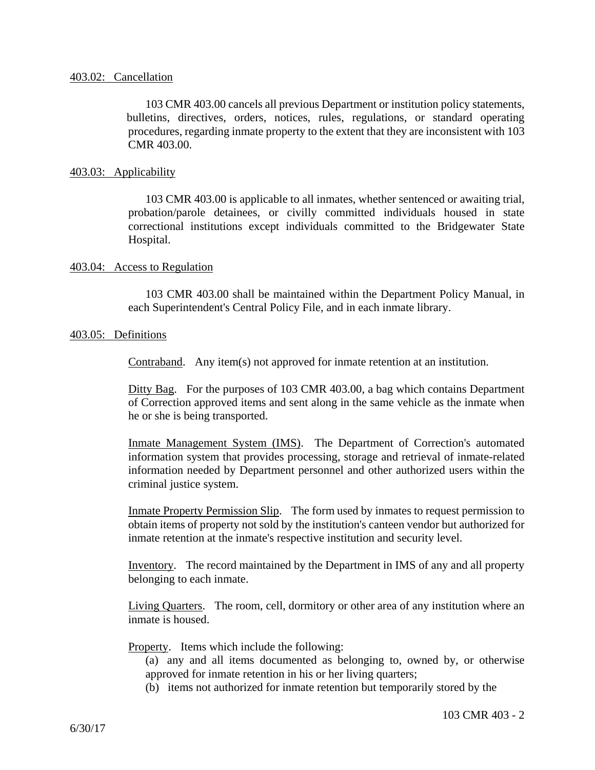## 403.02: Cancellation

103 CMR 403.00 cancels all previous Department or institution policy statements, bulletins, directives, orders, notices, rules, regulations, or standard operating procedures, regarding inmate property to the extent that they are inconsistent with 103 CMR 403.00.

# 403.03: Applicability

103 CMR 403.00 is applicable to all inmates, whether sentenced or awaiting trial, probation/parole detainees, or civilly committed individuals housed in state correctional institutions except individuals committed to the Bridgewater State Hospital.

# 403.04: Access to Regulation

103 CMR 403.00 shall be maintained within the Department Policy Manual, in each Superintendent's Central Policy File, and in each inmate library.

# 403.05: Definitions

Contraband. Any item(s) not approved for inmate retention at an institution.

Ditty Bag. For the purposes of 103 CMR 403.00, a bag which contains Department of Correction approved items and sent along in the same vehicle as the inmate when he or she is being transported.

Inmate Management System (IMS). The Department of Correction's automated information system that provides processing, storage and retrieval of inmate-related information needed by Department personnel and other authorized users within the criminal justice system.

Inmate Property Permission Slip. The form used by inmates to request permission to obtain items of property not sold by the institution's canteen vendor but authorized for inmate retention at the inmate's respective institution and security level.

Inventory. The record maintained by the Department in IMS of any and all property belonging to each inmate.

Living Quarters. The room, cell, dormitory or other area of any institution where an inmate is housed.

Property. Items which include the following:

(a) any and all items documented as belonging to, owned by, or otherwise approved for inmate retention in his or her living quarters;

(b) items not authorized for inmate retention but temporarily stored by the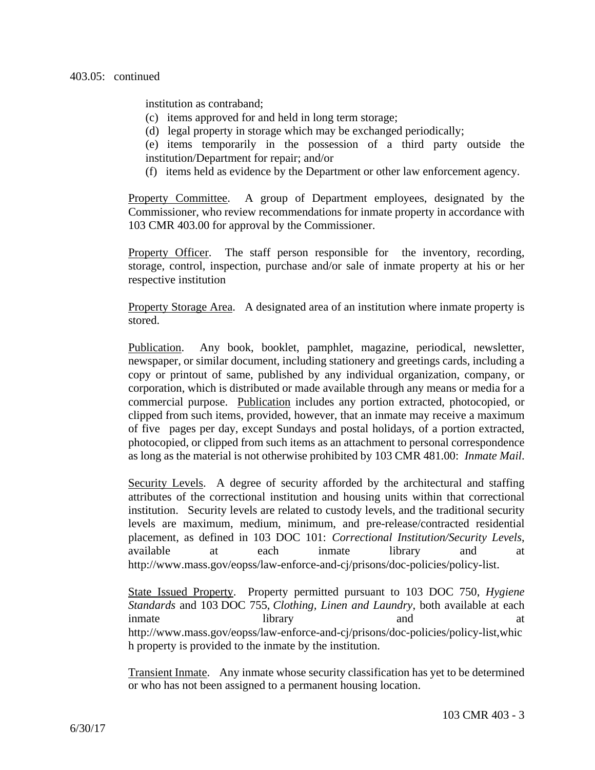institution as contraband;

- (c) items approved for and held in long term storage;
- (d) legal property in storage which may be exchanged periodically;
- (e) items temporarily in the possession of a third party outside the institution/Department for repair; and/or
- (f) items held as evidence by the Department or other law enforcement agency.

Property Committee. A group of Department employees, designated by the Commissioner, who review recommendations for inmate property in accordance with 103 CMR 403.00 for approval by the Commissioner.

Property Officer. The staff person responsible for the inventory, recording, storage, control, inspection, purchase and/or sale of inmate property at his or her respective institution

Property Storage Area. A designated area of an institution where inmate property is stored.

Publication. Any book, booklet, pamphlet, magazine, periodical, newsletter, newspaper, or similar document, including stationery and greetings cards, including a copy or printout of same, published by any individual organization, company, or corporation, which is distributed or made available through any means or media for a commercial purpose. Publication includes any portion extracted, photocopied, or clipped from such items, provided, however, that an inmate may receive a maximum of five pages per day, except Sundays and postal holidays, of a portion extracted, photocopied, or clipped from such items as an attachment to personal correspondence as long as the material is not otherwise prohibited by 103 CMR 481.00: *Inmate Mail*.

Security Levels. A degree of security afforded by the architectural and staffing attributes of the correctional institution and housing units within that correctional institution. Security levels are related to custody levels, and the traditional security levels are maximum, medium, minimum, and pre-release/contracted residential placement, as defined in 103 DOC 101: *Correctional Institution/Security Levels*, available at each inmate library and at http://www.mass.gov/eopss/law-enforce-and-cj/prisons/doc-policies/policy-list.

State Issued Property. Property permitted pursuant to 103 DOC 750, *Hygiene Standards* and 103 DOC 755, *Clothing, Linen and Laundry*, both available at each inmate library and at http://www.mass.gov/eopss/law-enforce-and-cj/prisons/doc-policies/policy-list,whic h property is provided to the inmate by the institution.

Transient Inmate. Any inmate whose security classification has yet to be determined or who has not been assigned to a permanent housing location.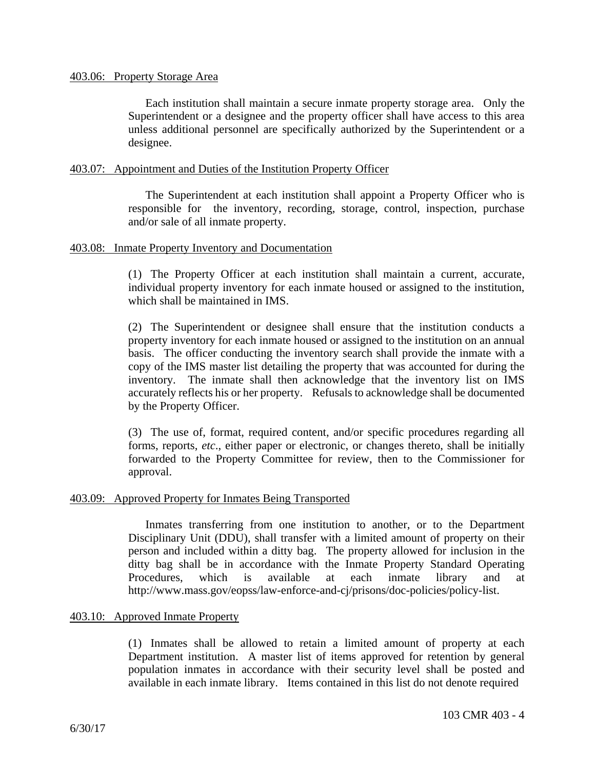Each institution shall maintain a secure inmate property storage area. Only the Superintendent or a designee and the property officer shall have access to this area unless additional personnel are specifically authorized by the Superintendent or a designee.

# 403.07: Appointment and Duties of the Institution Property Officer

The Superintendent at each institution shall appoint a Property Officer who is responsible for the inventory, recording, storage, control, inspection, purchase and/or sale of all inmate property.

### 403.08: Inmate Property Inventory and Documentation

(1) The Property Officer at each institution shall maintain a current, accurate, individual property inventory for each inmate housed or assigned to the institution, which shall be maintained in IMS.

(2) The Superintendent or designee shall ensure that the institution conducts a property inventory for each inmate housed or assigned to the institution on an annual basis. The officer conducting the inventory search shall provide the inmate with a copy of the IMS master list detailing the property that was accounted for during the inventory. The inmate shall then acknowledge that the inventory list on IMS accurately reflects his or her property. Refusals to acknowledge shall be documented by the Property Officer.

(3) The use of, format, required content, and/or specific procedures regarding all forms, reports, *etc*., either paper or electronic, or changes thereto, shall be initially forwarded to the Property Committee for review, then to the Commissioner for approval.

### 403.09: Approved Property for Inmates Being Transported

Inmates transferring from one institution to another, or to the Department Disciplinary Unit (DDU), shall transfer with a limited amount of property on their person and included within a ditty bag. The property allowed for inclusion in the ditty bag shall be in accordance with the Inmate Property Standard Operating Procedures, which is available at each inmate library and at http://www.mass.gov/eopss/law-enforce-and-cj/prisons/doc-policies/policy-list.

### 403.10: Approved Inmate Property

(1) Inmates shall be allowed to retain a limited amount of property at each Department institution. A master list of items approved for retention by general population inmates in accordance with their security level shall be posted and available in each inmate library. Items contained in this list do not denote required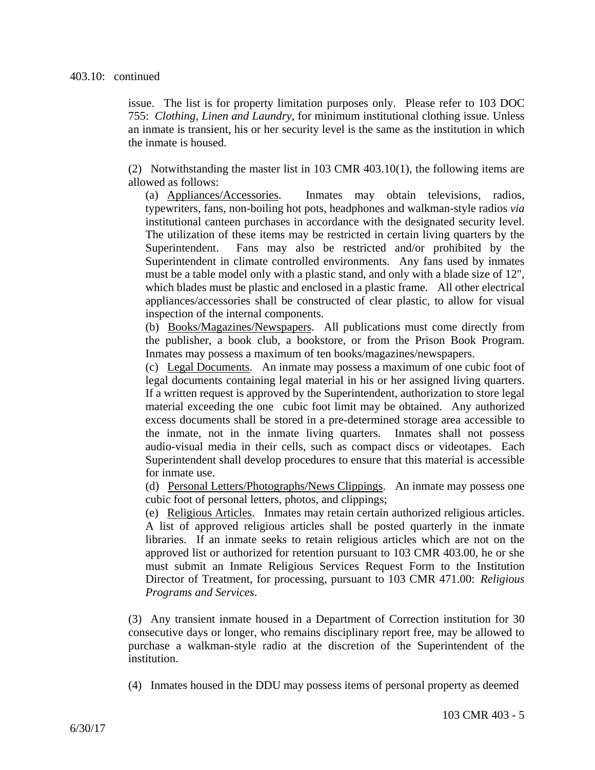#### 403.10: continued

issue. The list is for property limitation purposes only. Please refer to 103 DOC 755: *Clothing, Linen and Laundry*, for minimum institutional clothing issue. Unless an inmate is transient, his or her security level is the same as the institution in which the inmate is housed.

(2) Notwithstanding the master list in 103 CMR 403.10(1), the following items are allowed as follows:

(a) Appliances/Accessories. Inmates may obtain televisions, radios, typewriters, fans, non-boiling hot pots, headphones and walkman-style radios *via* institutional canteen purchases in accordance with the designated security level. The utilization of these items may be restricted in certain living quarters by the Superintendent. Fans may also be restricted and/or prohibited by the Superintendent in climate controlled environments. Any fans used by inmates must be a table model only with a plastic stand, and only with a blade size of 12", which blades must be plastic and enclosed in a plastic frame. All other electrical appliances/accessories shall be constructed of clear plastic, to allow for visual inspection of the internal components.

(b) Books/Magazines/Newspapers. All publications must come directly from the publisher, a book club, a bookstore, or from the Prison Book Program. Inmates may possess a maximum of ten books/magazines/newspapers.

(c) Legal Documents. An inmate may possess a maximum of one cubic foot of legal documents containing legal material in his or her assigned living quarters. If a written request is approved by the Superintendent, authorization to store legal material exceeding the one cubic foot limit may be obtained. Any authorized excess documents shall be stored in a pre-determined storage area accessible to the inmate, not in the inmate living quarters. Inmates shall not possess audio-visual media in their cells, such as compact discs or videotapes. Each Superintendent shall develop procedures to ensure that this material is accessible for inmate use.

(d) Personal Letters/Photographs/News Clippings. An inmate may possess one cubic foot of personal letters, photos, and clippings;

(e) Religious Articles. Inmates may retain certain authorized religious articles. A list of approved religious articles shall be posted quarterly in the inmate libraries. If an inmate seeks to retain religious articles which are not on the approved list or authorized for retention pursuant to 103 CMR 403.00, he or she must submit an Inmate Religious Services Request Form to the Institution Director of Treatment, for processing, pursuant to 103 CMR 471.00: *Religious Programs and Services*.

(3) Any transient inmate housed in a Department of Correction institution for 30 consecutive days or longer, who remains disciplinary report free, may be allowed to purchase a walkman-style radio at the discretion of the Superintendent of the institution.

(4) Inmates housed in the DDU may possess items of personal property as deemed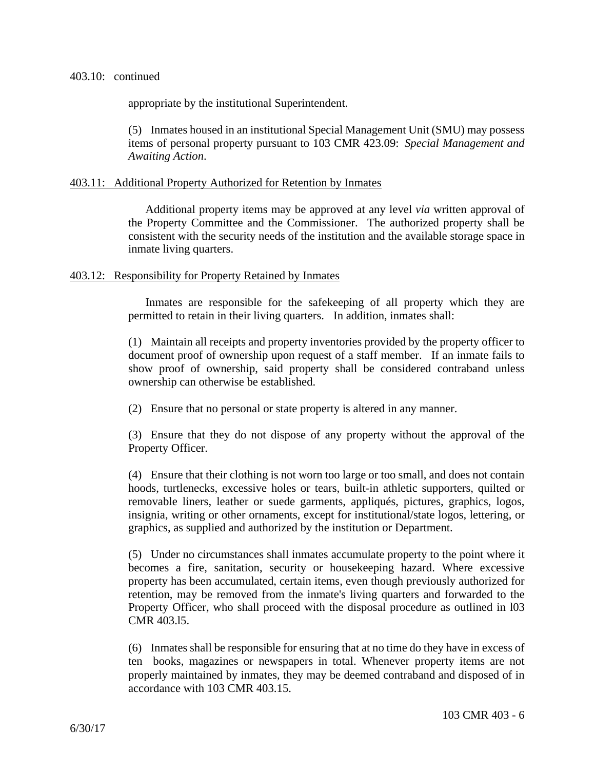appropriate by the institutional Superintendent.

(5) Inmates housed in an institutional Special Management Unit (SMU) may possess items of personal property pursuant to 103 CMR 423.09: *Special Management and Awaiting Action*.

# 403.11: Additional Property Authorized for Retention by Inmates

Additional property items may be approved at any level *via* written approval of the Property Committee and the Commissioner. The authorized property shall be consistent with the security needs of the institution and the available storage space in inmate living quarters.

# 403.12: Responsibility for Property Retained by Inmates

Inmates are responsible for the safekeeping of all property which they are permitted to retain in their living quarters. In addition, inmates shall:

(1) Maintain all receipts and property inventories provided by the property officer to document proof of ownership upon request of a staff member. If an inmate fails to show proof of ownership, said property shall be considered contraband unless ownership can otherwise be established.

(2) Ensure that no personal or state property is altered in any manner.

(3) Ensure that they do not dispose of any property without the approval of the Property Officer.

(4) Ensure that their clothing is not worn too large or too small, and does not contain hoods, turtlenecks, excessive holes or tears, built-in athletic supporters, quilted or removable liners, leather or suede garments, appliqués, pictures, graphics, logos, insignia, writing or other ornaments, except for institutional/state logos, lettering, or graphics, as supplied and authorized by the institution or Department.

(5) Under no circumstances shall inmates accumulate property to the point where it becomes a fire, sanitation, security or housekeeping hazard. Where excessive property has been accumulated, certain items, even though previously authorized for retention, may be removed from the inmate's living quarters and forwarded to the Property Officer, who shall proceed with the disposal procedure as outlined in l03 CMR 403.l5.

(6) Inmates shall be responsible for ensuring that at no time do they have in excess of ten books, magazines or newspapers in total. Whenever property items are not properly maintained by inmates, they may be deemed contraband and disposed of in accordance with 103 CMR 403.15.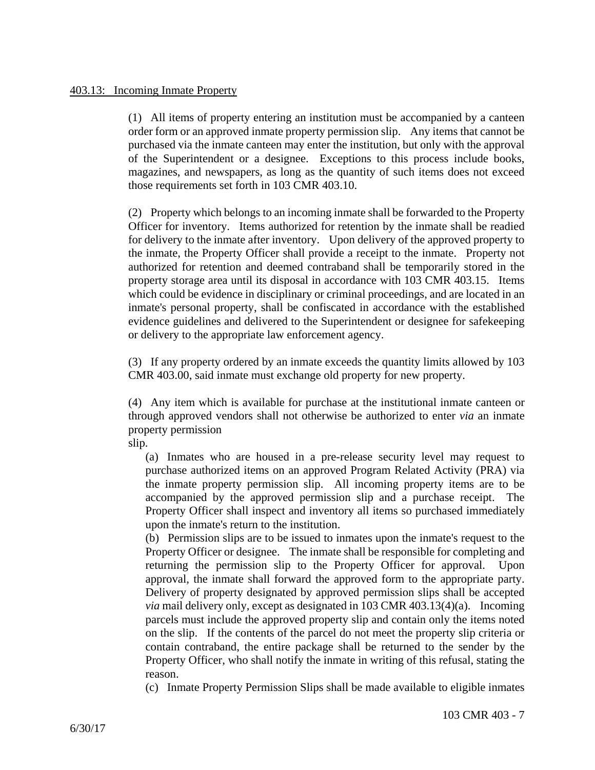(1) All items of property entering an institution must be accompanied by a canteen order form or an approved inmate property permission slip. Any items that cannot be purchased via the inmate canteen may enter the institution, but only with the approval of the Superintendent or a designee. Exceptions to this process include books, magazines, and newspapers, as long as the quantity of such items does not exceed those requirements set forth in 103 CMR 403.10.

(2) Property which belongs to an incoming inmate shall be forwarded to the Property Officer for inventory. Items authorized for retention by the inmate shall be readied for delivery to the inmate after inventory. Upon delivery of the approved property to the inmate, the Property Officer shall provide a receipt to the inmate. Property not authorized for retention and deemed contraband shall be temporarily stored in the property storage area until its disposal in accordance with 103 CMR 403.15. Items which could be evidence in disciplinary or criminal proceedings, and are located in an inmate's personal property, shall be confiscated in accordance with the established evidence guidelines and delivered to the Superintendent or designee for safekeeping or delivery to the appropriate law enforcement agency.

(3) If any property ordered by an inmate exceeds the quantity limits allowed by 103 CMR 403.00, said inmate must exchange old property for new property.

(4) Any item which is available for purchase at the institutional inmate canteen or through approved vendors shall not otherwise be authorized to enter *via* an inmate property permission

slip.

(a) Inmates who are housed in a pre-release security level may request to purchase authorized items on an approved Program Related Activity (PRA) via the inmate property permission slip. All incoming property items are to be accompanied by the approved permission slip and a purchase receipt. The Property Officer shall inspect and inventory all items so purchased immediately upon the inmate's return to the institution.

(b) Permission slips are to be issued to inmates upon the inmate's request to the Property Officer or designee. The inmate shall be responsible for completing and returning the permission slip to the Property Officer for approval. Upon approval, the inmate shall forward the approved form to the appropriate party. Delivery of property designated by approved permission slips shall be accepted *via* mail delivery only, except as designated in 103 CMR 403.13(4)(a). Incoming parcels must include the approved property slip and contain only the items noted on the slip. If the contents of the parcel do not meet the property slip criteria or contain contraband, the entire package shall be returned to the sender by the Property Officer, who shall notify the inmate in writing of this refusal, stating the reason.

(c) Inmate Property Permission Slips shall be made available to eligible inmates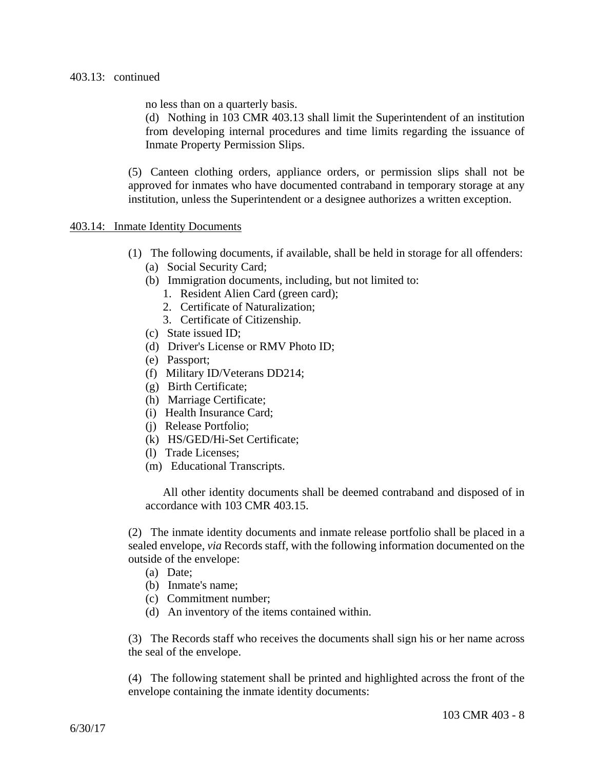## 403.13: continued

no less than on a quarterly basis.

(d) Nothing in 103 CMR 403.13 shall limit the Superintendent of an institution from developing internal procedures and time limits regarding the issuance of Inmate Property Permission Slips.

(5) Canteen clothing orders, appliance orders, or permission slips shall not be approved for inmates who have documented contraband in temporary storage at any institution, unless the Superintendent or a designee authorizes a written exception.

### 403.14: Inmate Identity Documents

- (1) The following documents, if available, shall be held in storage for all offenders:
	- (a) Social Security Card;
	- (b) Immigration documents, including, but not limited to:
		- 1. Resident Alien Card (green card);
		- 2. Certificate of Naturalization;
		- 3. Certificate of Citizenship.
	- (c) State issued ID;
	- (d) Driver's License or RMV Photo ID;
	- (e) Passport;
	- (f) Military ID/Veterans DD214;
	- (g) Birth Certificate;
	- (h) Marriage Certificate;
	- (i) Health Insurance Card;
	- (j) Release Portfolio;
	- (k) HS/GED/Hi-Set Certificate;
	- (l) Trade Licenses;
	- (m) Educational Transcripts.

All other identity documents shall be deemed contraband and disposed of in accordance with 103 CMR 403.15.

(2) The inmate identity documents and inmate release portfolio shall be placed in a sealed envelope, *via* Records staff, with the following information documented on the outside of the envelope:

- (a) Date;
- (b) Inmate's name;
- (c) Commitment number;
- (d) An inventory of the items contained within.

(3) The Records staff who receives the documents shall sign his or her name across the seal of the envelope.

(4) The following statement shall be printed and highlighted across the front of the envelope containing the inmate identity documents: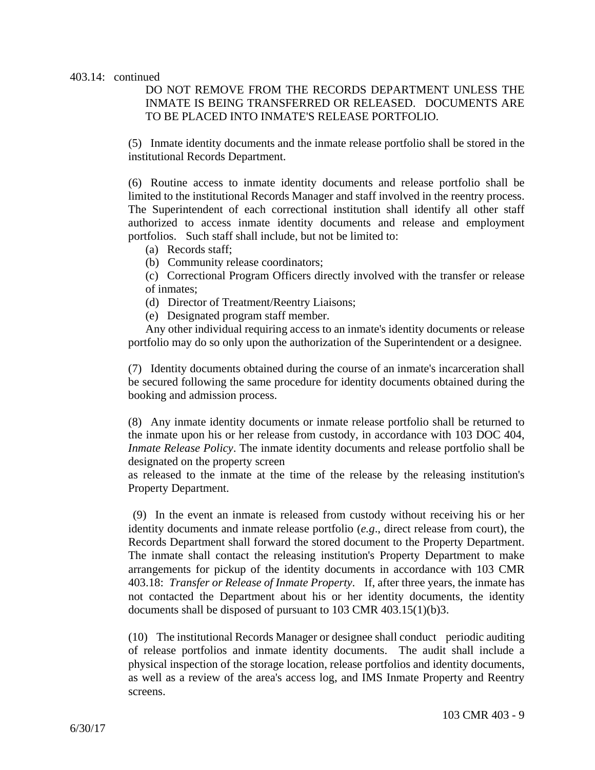### 403.14: continued

# DO NOT REMOVE FROM THE RECORDS DEPARTMENT UNLESS THE INMATE IS BEING TRANSFERRED OR RELEASED. DOCUMENTS ARE TO BE PLACED INTO INMATE'S RELEASE PORTFOLIO.

(5) Inmate identity documents and the inmate release portfolio shall be stored in the institutional Records Department.

(6) Routine access to inmate identity documents and release portfolio shall be limited to the institutional Records Manager and staff involved in the reentry process. The Superintendent of each correctional institution shall identify all other staff authorized to access inmate identity documents and release and employment portfolios. Such staff shall include, but not be limited to:

- (a) Records staff;
- (b) Community release coordinators;

(c) Correctional Program Officers directly involved with the transfer or release of inmates;

(d) Director of Treatment/Reentry Liaisons;

(e) Designated program staff member.

Any other individual requiring access to an inmate's identity documents or release portfolio may do so only upon the authorization of the Superintendent or a designee.

(7) Identity documents obtained during the course of an inmate's incarceration shall be secured following the same procedure for identity documents obtained during the booking and admission process.

(8) Any inmate identity documents or inmate release portfolio shall be returned to the inmate upon his or her release from custody, in accordance with 103 DOC 404, *Inmate Release Policy*. The inmate identity documents and release portfolio shall be designated on the property screen

as released to the inmate at the time of the release by the releasing institution's Property Department.

 (9) In the event an inmate is released from custody without receiving his or her identity documents and inmate release portfolio (*e.g*., direct release from court), the Records Department shall forward the stored document to the Property Department. The inmate shall contact the releasing institution's Property Department to make arrangements for pickup of the identity documents in accordance with 103 CMR 403.18: *Transfer or Release of Inmate Property*. If, after three years, the inmate has not contacted the Department about his or her identity documents, the identity documents shall be disposed of pursuant to 103 CMR 403.15(1)(b)3.

(10) The institutional Records Manager or designee shall conduct periodic auditing of release portfolios and inmate identity documents. The audit shall include a physical inspection of the storage location, release portfolios and identity documents, as well as a review of the area's access log, and IMS Inmate Property and Reentry screens.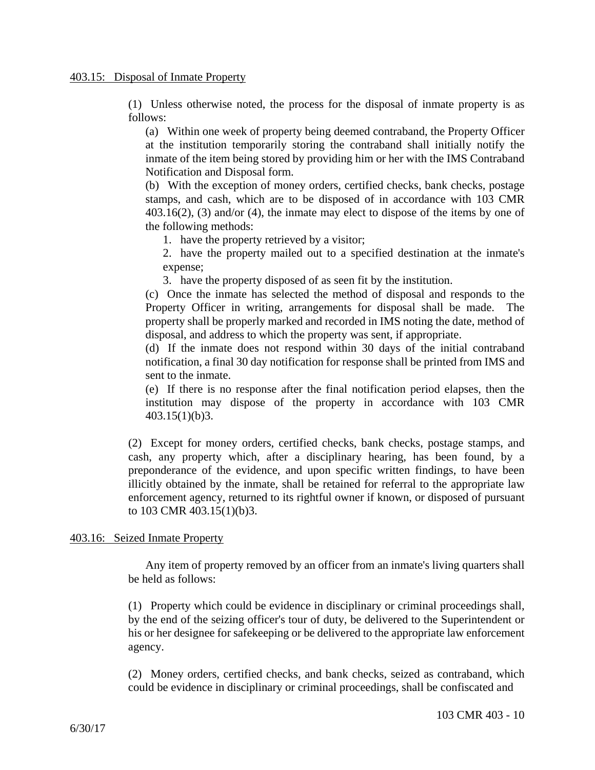(1) Unless otherwise noted, the process for the disposal of inmate property is as follows:

(a) Within one week of property being deemed contraband, the Property Officer at the institution temporarily storing the contraband shall initially notify the inmate of the item being stored by providing him or her with the IMS Contraband Notification and Disposal form.

(b) With the exception of money orders, certified checks, bank checks, postage stamps, and cash, which are to be disposed of in accordance with 103 CMR 403.16(2), (3) and/or (4), the inmate may elect to dispose of the items by one of the following methods:

1. have the property retrieved by a visitor;

2. have the property mailed out to a specified destination at the inmate's expense;

3. have the property disposed of as seen fit by the institution.

(c) Once the inmate has selected the method of disposal and responds to the Property Officer in writing, arrangements for disposal shall be made. The property shall be properly marked and recorded in IMS noting the date, method of disposal, and address to which the property was sent, if appropriate.

(d) If the inmate does not respond within 30 days of the initial contraband notification, a final 30 day notification for response shall be printed from IMS and sent to the inmate.

(e) If there is no response after the final notification period elapses, then the institution may dispose of the property in accordance with 103 CMR 403.15(1)(b)3.

(2) Except for money orders, certified checks, bank checks, postage stamps, and cash, any property which, after a disciplinary hearing, has been found, by a preponderance of the evidence, and upon specific written findings, to have been illicitly obtained by the inmate, shall be retained for referral to the appropriate law enforcement agency, returned to its rightful owner if known, or disposed of pursuant to 103 CMR 403.15(1)(b)3.

# 403.16: Seized Inmate Property

Any item of property removed by an officer from an inmate's living quarters shall be held as follows:

(1) Property which could be evidence in disciplinary or criminal proceedings shall, by the end of the seizing officer's tour of duty, be delivered to the Superintendent or his or her designee for safekeeping or be delivered to the appropriate law enforcement agency.

(2) Money orders, certified checks, and bank checks, seized as contraband, which could be evidence in disciplinary or criminal proceedings, shall be confiscated and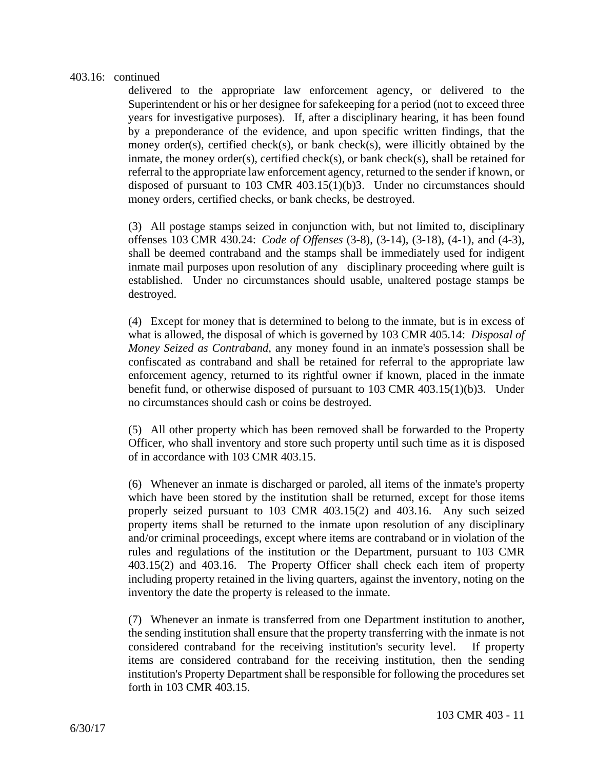# 403.16: continued

delivered to the appropriate law enforcement agency, or delivered to the Superintendent or his or her designee for safekeeping for a period (not to exceed three years for investigative purposes). If, after a disciplinary hearing, it has been found by a preponderance of the evidence, and upon specific written findings, that the money order(s), certified check(s), or bank check(s), were illicitly obtained by the inmate, the money order(s), certified check(s), or bank check(s), shall be retained for referral to the appropriate law enforcement agency, returned to the sender if known, or disposed of pursuant to 103 CMR 403.15(1)(b)3. Under no circumstances should money orders, certified checks, or bank checks, be destroyed.

(3) All postage stamps seized in conjunction with, but not limited to, disciplinary offenses 103 CMR 430.24: *Code of Offenses* (3-8), (3-14), (3-18), (4-1), and (4-3), shall be deemed contraband and the stamps shall be immediately used for indigent inmate mail purposes upon resolution of any disciplinary proceeding where guilt is established. Under no circumstances should usable, unaltered postage stamps be destroyed.

(4) Except for money that is determined to belong to the inmate, but is in excess of what is allowed, the disposal of which is governed by 103 CMR 405.14: *Disposal of Money Seized as Contraband*, any money found in an inmate's possession shall be confiscated as contraband and shall be retained for referral to the appropriate law enforcement agency, returned to its rightful owner if known, placed in the inmate benefit fund, or otherwise disposed of pursuant to 103 CMR 403.15(1)(b)3. Under no circumstances should cash or coins be destroyed.

(5) All other property which has been removed shall be forwarded to the Property Officer, who shall inventory and store such property until such time as it is disposed of in accordance with 103 CMR 403.15.

(6) Whenever an inmate is discharged or paroled, all items of the inmate's property which have been stored by the institution shall be returned, except for those items properly seized pursuant to 103 CMR 403.15(2) and 403.16. Any such seized property items shall be returned to the inmate upon resolution of any disciplinary and/or criminal proceedings, except where items are contraband or in violation of the rules and regulations of the institution or the Department, pursuant to 103 CMR 403.15(2) and 403.16. The Property Officer shall check each item of property including property retained in the living quarters, against the inventory, noting on the inventory the date the property is released to the inmate.

(7) Whenever an inmate is transferred from one Department institution to another, the sending institution shall ensure that the property transferring with the inmate is not considered contraband for the receiving institution's security level. If property items are considered contraband for the receiving institution, then the sending institution's Property Department shall be responsible for following the procedures set forth in 103 CMR 403.15.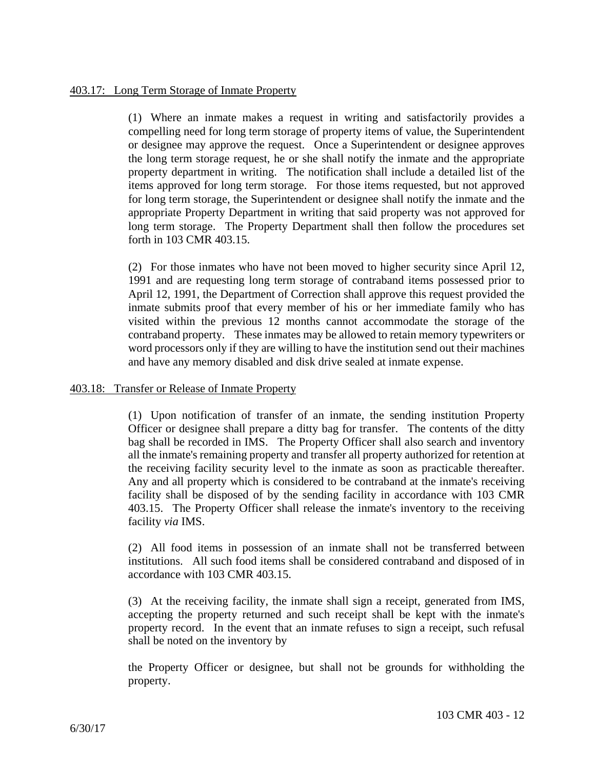(1) Where an inmate makes a request in writing and satisfactorily provides a compelling need for long term storage of property items of value, the Superintendent or designee may approve the request. Once a Superintendent or designee approves the long term storage request, he or she shall notify the inmate and the appropriate property department in writing. The notification shall include a detailed list of the items approved for long term storage. For those items requested, but not approved for long term storage, the Superintendent or designee shall notify the inmate and the appropriate Property Department in writing that said property was not approved for long term storage. The Property Department shall then follow the procedures set forth in 103 CMR 403.15.

(2) For those inmates who have not been moved to higher security since April 12, 1991 and are requesting long term storage of contraband items possessed prior to April 12, 1991, the Department of Correction shall approve this request provided the inmate submits proof that every member of his or her immediate family who has visited within the previous 12 months cannot accommodate the storage of the contraband property. These inmates may be allowed to retain memory typewriters or word processors only if they are willing to have the institution send out their machines and have any memory disabled and disk drive sealed at inmate expense.

# 403.18: Transfer or Release of Inmate Property

(1) Upon notification of transfer of an inmate, the sending institution Property Officer or designee shall prepare a ditty bag for transfer. The contents of the ditty bag shall be recorded in IMS. The Property Officer shall also search and inventory all the inmate's remaining property and transfer all property authorized for retention at the receiving facility security level to the inmate as soon as practicable thereafter. Any and all property which is considered to be contraband at the inmate's receiving facility shall be disposed of by the sending facility in accordance with 103 CMR 403.15. The Property Officer shall release the inmate's inventory to the receiving facility *via* IMS.

(2) All food items in possession of an inmate shall not be transferred between institutions. All such food items shall be considered contraband and disposed of in accordance with 103 CMR 403.15.

(3) At the receiving facility, the inmate shall sign a receipt, generated from IMS, accepting the property returned and such receipt shall be kept with the inmate's property record. In the event that an inmate refuses to sign a receipt, such refusal shall be noted on the inventory by

the Property Officer or designee, but shall not be grounds for withholding the property.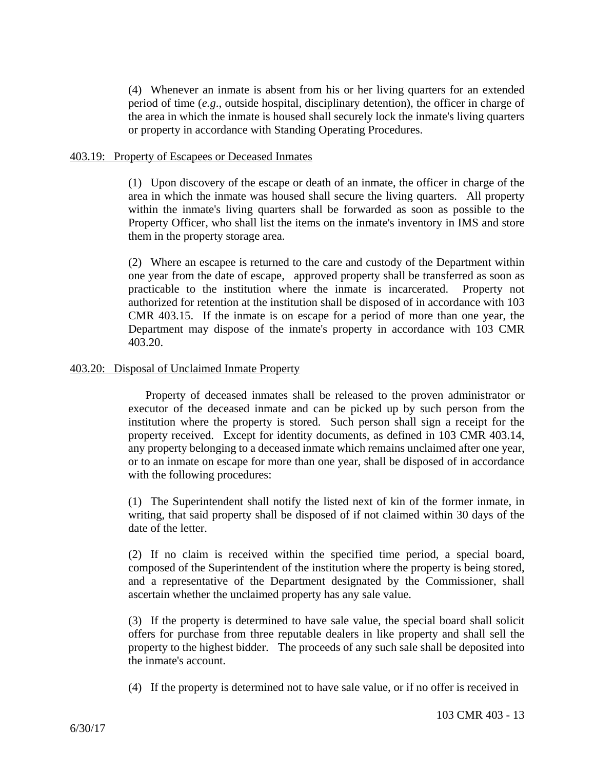(4) Whenever an inmate is absent from his or her living quarters for an extended period of time (*e.g*., outside hospital, disciplinary detention), the officer in charge of the area in which the inmate is housed shall securely lock the inmate's living quarters or property in accordance with Standing Operating Procedures.

# 403.19: Property of Escapees or Deceased Inmates

(1) Upon discovery of the escape or death of an inmate, the officer in charge of the area in which the inmate was housed shall secure the living quarters. All property within the inmate's living quarters shall be forwarded as soon as possible to the Property Officer, who shall list the items on the inmate's inventory in IMS and store them in the property storage area.

(2) Where an escapee is returned to the care and custody of the Department within one year from the date of escape, approved property shall be transferred as soon as practicable to the institution where the inmate is incarcerated. Property not authorized for retention at the institution shall be disposed of in accordance with 103 CMR 403.15. If the inmate is on escape for a period of more than one year, the Department may dispose of the inmate's property in accordance with 103 CMR 403.20.

# 403.20: Disposal of Unclaimed Inmate Property

Property of deceased inmates shall be released to the proven administrator or executor of the deceased inmate and can be picked up by such person from the institution where the property is stored. Such person shall sign a receipt for the property received. Except for identity documents, as defined in 103 CMR 403.14, any property belonging to a deceased inmate which remains unclaimed after one year, or to an inmate on escape for more than one year, shall be disposed of in accordance with the following procedures:

(1) The Superintendent shall notify the listed next of kin of the former inmate, in writing, that said property shall be disposed of if not claimed within 30 days of the date of the letter.

(2) If no claim is received within the specified time period, a special board, composed of the Superintendent of the institution where the property is being stored, and a representative of the Department designated by the Commissioner, shall ascertain whether the unclaimed property has any sale value.

(3) If the property is determined to have sale value, the special board shall solicit offers for purchase from three reputable dealers in like property and shall sell the property to the highest bidder. The proceeds of any such sale shall be deposited into the inmate's account.

(4) If the property is determined not to have sale value, or if no offer is received in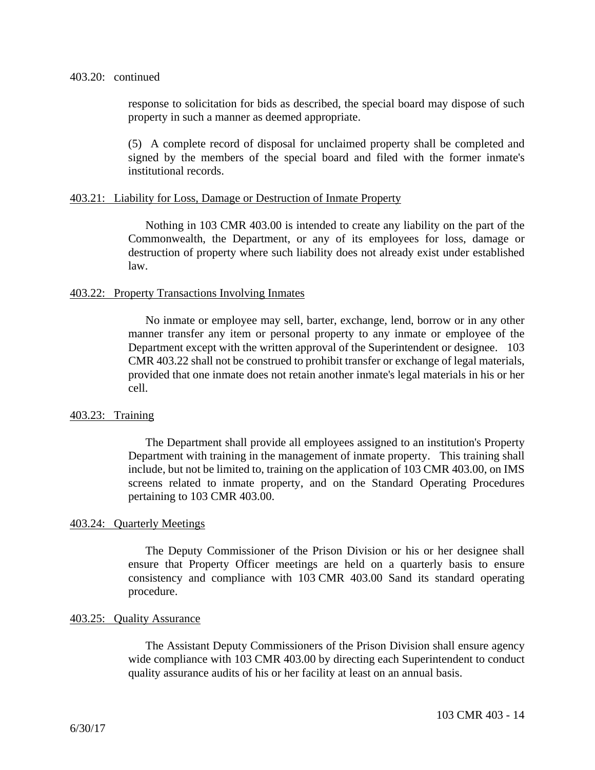### 403.20: continued

response to solicitation for bids as described, the special board may dispose of such property in such a manner as deemed appropriate.

(5) A complete record of disposal for unclaimed property shall be completed and signed by the members of the special board and filed with the former inmate's institutional records.

# 403.21: Liability for Loss, Damage or Destruction of Inmate Property

Nothing in 103 CMR 403.00 is intended to create any liability on the part of the Commonwealth, the Department, or any of its employees for loss, damage or destruction of property where such liability does not already exist under established law.

# 403.22: Property Transactions Involving Inmates

No inmate or employee may sell, barter, exchange, lend, borrow or in any other manner transfer any item or personal property to any inmate or employee of the Department except with the written approval of the Superintendent or designee. 103 CMR 403.22 shall not be construed to prohibit transfer or exchange of legal materials, provided that one inmate does not retain another inmate's legal materials in his or her cell.

### 403.23: Training

The Department shall provide all employees assigned to an institution's Property Department with training in the management of inmate property. This training shall include, but not be limited to, training on the application of 103 CMR 403.00, on IMS screens related to inmate property, and on the Standard Operating Procedures pertaining to 103 CMR 403.00.

### 403.24: Quarterly Meetings

The Deputy Commissioner of the Prison Division or his or her designee shall ensure that Property Officer meetings are held on a quarterly basis to ensure consistency and compliance with 103 CMR 403.00 Sand its standard operating procedure.

### 403.25: Quality Assurance

The Assistant Deputy Commissioners of the Prison Division shall ensure agency wide compliance with 103 CMR 403.00 by directing each Superintendent to conduct quality assurance audits of his or her facility at least on an annual basis.